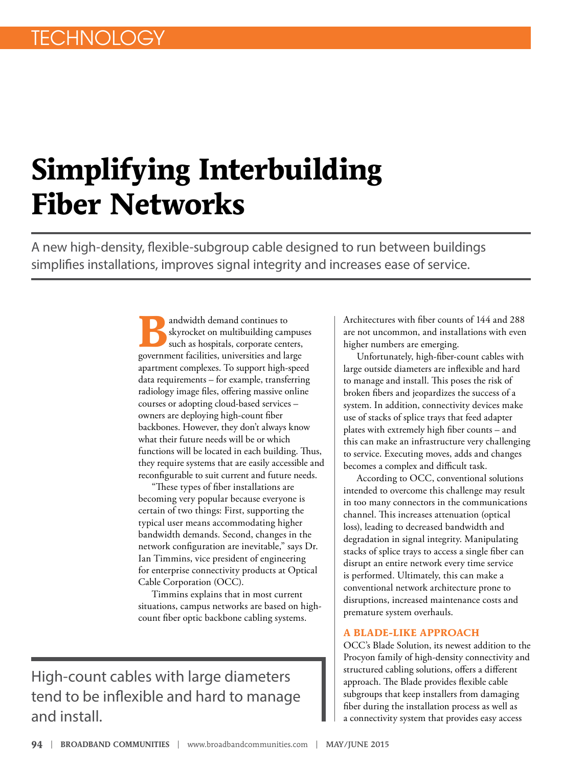## **Simplifying Interbuilding Fiber Networks**

A new high-density, flexible-subgroup cable designed to run between buildings simplifies installations, improves signal integrity and increases ease of service.

> **Bandwidth demand continues to**<br>skyrocket on multibuilding came<br>such as hospitals, corporate cent skyrocket on multibuilding campuses such as hospitals, corporate centers, government facilities, universities and large apartment complexes. To support high-speed data requirements – for example, transferring radiology image files, offering massive online courses or adopting cloud-based services – owners are deploying high-count fiber backbones. However, they don't always know what their future needs will be or which functions will be located in each building. Thus, they require systems that are easily accessible and reconfigurable to suit current and future needs.

"These types of fiber installations are becoming very popular because everyone is certain of two things: First, supporting the typical user means accommodating higher bandwidth demands. Second, changes in the network configuration are inevitable," says Dr. Ian Timmins, vice president of engineering for enterprise connectivity products at Optical Cable Corporation (OCC).

Timmins explains that in most current situations, campus networks are based on highcount fiber optic backbone cabling systems.

High-count cables with large diameters tend to be inflexible and hard to manage and install.

Architectures with fiber counts of 144 and 288 are not uncommon, and installations with even higher numbers are emerging.

Unfortunately, high-fiber-count cables with large outside diameters are inflexible and hard to manage and install. This poses the risk of broken fibers and jeopardizes the success of a system. In addition, connectivity devices make use of stacks of splice trays that feed adapter plates with extremely high fiber counts – and this can make an infrastructure very challenging to service. Executing moves, adds and changes becomes a complex and difficult task.

According to OCC, conventional solutions intended to overcome this challenge may result in too many connectors in the communications channel. This increases attenuation (optical loss), leading to decreased bandwidth and degradation in signal integrity. Manipulating stacks of splice trays to access a single fiber can disrupt an entire network every time service is performed. Ultimately, this can make a conventional network architecture prone to disruptions, increased maintenance costs and premature system overhauls.

## **A BLADE-LIKE APPROACH**

OCC's Blade Solution, its newest addition to the Procyon family of high-density connectivity and structured cabling solutions, offers a different approach. The Blade provides flexible cable subgroups that keep installers from damaging fiber during the installation process as well as a connectivity system that provides easy access